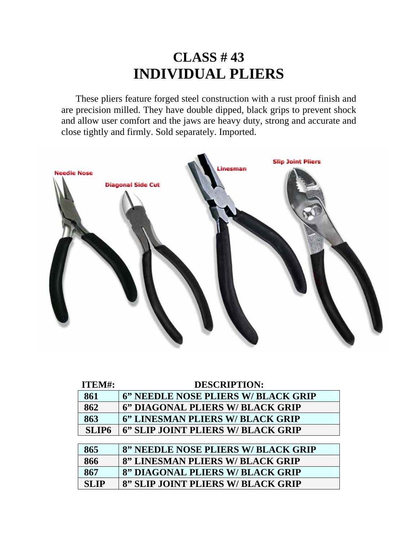## **CLASS # 43 INDIVIDUAL PLIERS**

 These pliers feature forged steel construction with a rust proof finish and are precision milled. They have double dipped, black grips to prevent shock and allow user comfort and the jaws are heavy duty, strong and accurate and close tightly and firmly. Sold separately. Imported.



| ITEM#:       | <b>DESCRIPTION:</b>                 |
|--------------|-------------------------------------|
| 861          | 6" NEEDLE NOSE PLIERS W/ BLACK GRIP |
| 862          | 6" DIAGONAL PLIERS W/ BLACK GRIP    |
| 863          | 6" LINESMAN PLIERS W/ BLACK GRIP    |
| <b>SLIP6</b> | 6" SLIP JOINT PLIERS W/ BLACK GRIP  |
|              |                                     |
| 865          | 8" NEEDLE NOSE PLIERS W/ BLACK GRIP |
| 866          | 8" LINESMAN PLIERS W/ BLACK GRIP    |
| 867          | 8" DIAGONAL PLIERS W/ BLACK GRIP    |
| <b>SLIP</b>  | 8" SLIP JOINT PLIERS W/ BLACK GRIP  |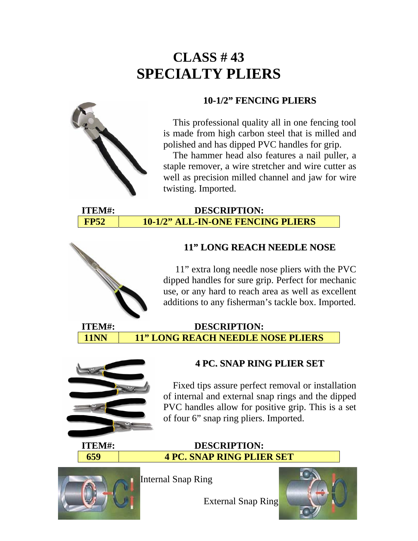# **CLASS # 43 SPECIALTY PLIERS**

#### **10-1/2" FENCING PLIERS**



 The hammer head also features a nail puller, a staple remover, a wire stretcher and wire cutter as well as precision milled channel and jaw for wire twisting. Imported.

#### **ITEM#: DESCRIPTION: FP52 10-1/2" ALL-IN-ONE FENCING PLIERS**

#### **11" LONG REACH NEEDLE NOSE**

 11" extra long needle nose pliers with the PVC dipped handles for sure grip. Perfect for mechanic use, or any hard to reach area as well as excellent additions to any fisherman's tackle box. Imported.

#### **ITEM#: DESCRIPTION:**  11NN 11" LONG REACH NEEDLE NOSE PLIERS



#### **4 PC. SNAP RING PLIER SET**

 Fixed tips assure perfect removal or installation of internal and external snap rings and the dipped PVC handles allow for positive grip. This is a set of four 6" snap ring pliers. Imported.

**ITEM#: DESCRIPTION:** 

# **659 4 PC. SNAP RING PLIER SET**



Internal Snap Ring

External Snap Ring

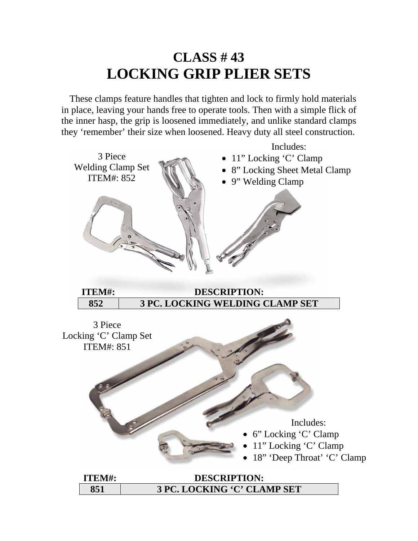## **CLASS # 43 LOCKING GRIP PLIER SETS**

 These clamps feature handles that tighten and lock to firmly hold materials in place, leaving your hands free to operate tools. Then with a simple flick of the inner hasp, the grip is loosened immediately, and unlike standard clamps they 'remember' their size when loosened. Heavy duty all steel construction.

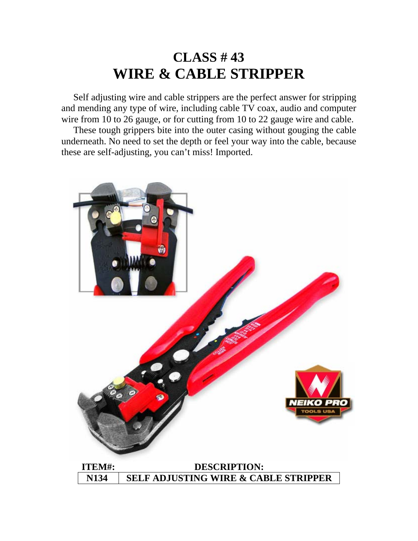## **CLASS # 43 WIRE & CABLE STRIPPER**

 Self adjusting wire and cable strippers are the perfect answer for stripping and mending any type of wire, including cable TV coax, audio and computer wire from 10 to 26 gauge, or for cutting from 10 to 22 gauge wire and cable.

 These tough grippers bite into the outer casing without gouging the cable underneath. No need to set the depth or feel your way into the cable, because these are self-adjusting, you can't miss! Imported.

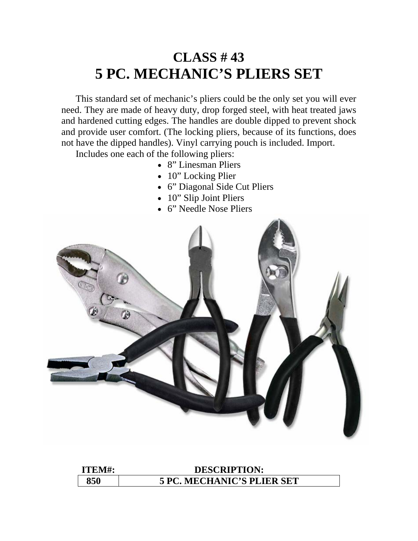## **CLASS # 43 5 PC. MECHANIC'S PLIERS SET**

 This standard set of mechanic's pliers could be the only set you will ever need. They are made of heavy duty, drop forged steel, with heat treated jaws and hardened cutting edges. The handles are double dipped to prevent shock and provide user comfort. (The locking pliers, because of its functions, does not have the dipped handles). Vinyl carrying pouch is included. Import.

Includes one each of the following pliers:

- 8" Linesman Pliers
- 10" Locking Plier
- 6" Diagonal Side Cut Pliers
- 10" Slip Joint Pliers
- 6" Needle Nose Pliers



**ITEM#: DESCRIPTION: 850 5 PC. MECHANIC'S PLIER SET**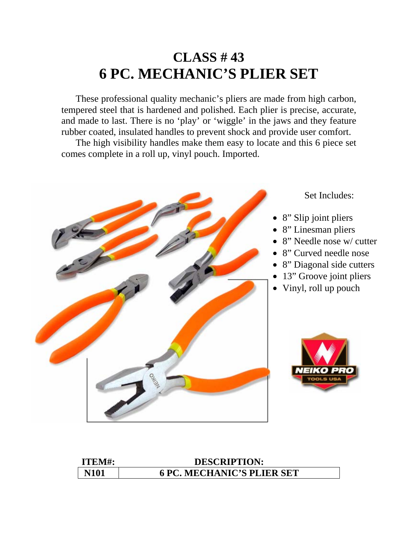## **CLASS # 43 6 PC. MECHANIC'S PLIER SET**

 These professional quality mechanic's pliers are made from high carbon, tempered steel that is hardened and polished. Each plier is precise, accurate, and made to last. There is no 'play' or 'wiggle' in the jaws and they feature rubber coated, insulated handles to prevent shock and provide user comfort.

 The high visibility handles make them easy to locate and this 6 piece set comes complete in a roll up, vinyl pouch. Imported.



| ITEM#:      | <b>DESCRIPTION:</b>               |
|-------------|-----------------------------------|
| <b>N101</b> | <b>6 PC. MECHANIC'S PLIER SET</b> |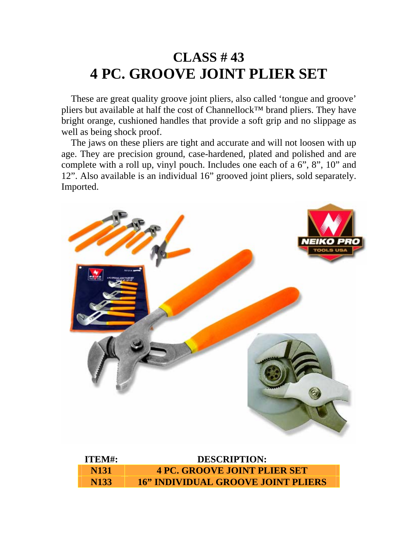## **CLASS # 43 4 PC. GROOVE JOINT PLIER SET**

 These are great quality groove joint pliers, also called 'tongue and groove' pliers but available at half the cost of Channellock™ brand pliers. They have bright orange, cushioned handles that provide a soft grip and no slippage as well as being shock proof.

 The jaws on these pliers are tight and accurate and will not loosen with up age. They are precision ground, case-hardened, plated and polished and are complete with a roll up, vinyl pouch. Includes one each of a 6", 8", 10" and 12". Also available is an individual 16" grooved joint pliers, sold separately. Imported.



| ITEM#:      | <b>DESCRIPTION:</b>                       |
|-------------|-------------------------------------------|
| <b>N131</b> | <b>4 PC. GROOVE JOINT PLIER SET</b>       |
| <b>N133</b> | <b>16" INDIVIDUAL GROOVE JOINT PLIERS</b> |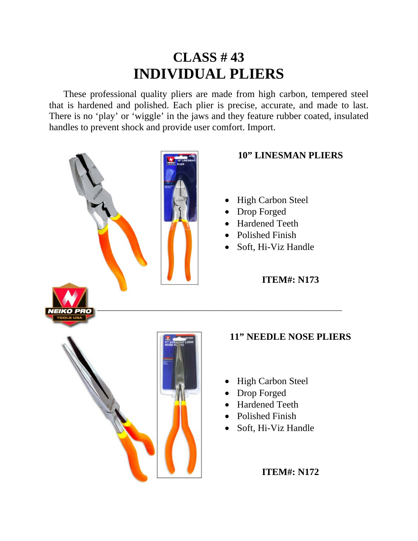## **CLASS # 43 INDIVIDUAL PLIERS**

 These professional quality pliers are made from high carbon, tempered steel that is hardened and polished. Each plier is precise, accurate, and made to last. There is no 'play' or 'wiggle' in the jaws and they feature rubber coated, insulated handles to prevent shock and provide user comfort. Import.



#### **10" LINESMAN PLIERS**

- High Carbon Steel
- Drop Forged
- Hardened Teeth
- Polished Finish
- Soft, Hi-Viz Handle

**ITEM#: N173**

#### **11" NEEDLE NOSE PLIERS**

- High Carbon Steel
- Drop Forged
- Hardened Teeth
- Polished Finish
- Soft, Hi-Viz Handle

**ITEM#: N172**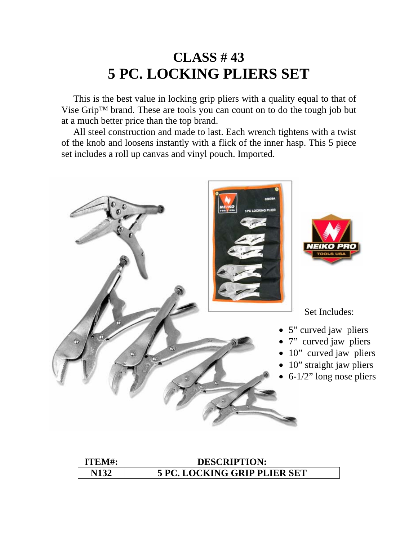## **CLASS # 43 5 PC. LOCKING PLIERS SET**

 This is the best value in locking grip pliers with a quality equal to that of Vise Grip™ brand. These are tools you can count on to do the tough job but at a much better price than the top brand.

 All steel construction and made to last. Each wrench tightens with a twist of the knob and loosens instantly with a flick of the inner hasp. This 5 piece set includes a roll up canvas and vinyl pouch. Imported.



| ITEM#: | <b>DESCRIPTION:</b>                 |
|--------|-------------------------------------|
| N132   | <b>5 PC. LOCKING GRIP PLIER SET</b> |